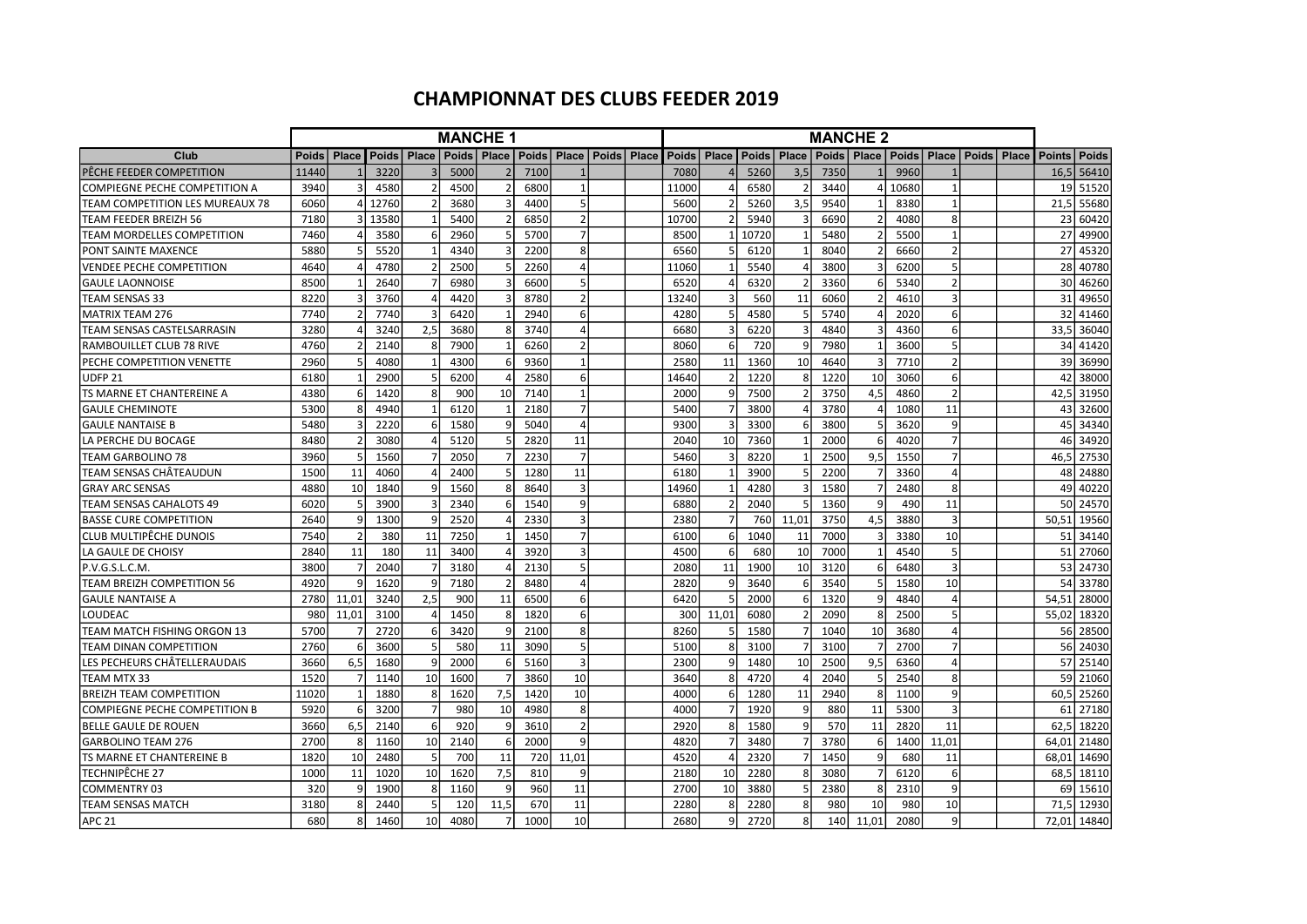## CHAMPIONNAT DES CLUBS FEEDER 2019

|                                      | <b>MANCHE 1</b> |                  |                          |                        |               |                |              |                          |              | <b>MANCHE 2</b> |       |               |       |                |      |               |       |                          |                               |  |               |              |
|--------------------------------------|-----------------|------------------|--------------------------|------------------------|---------------|----------------|--------------|--------------------------|--------------|-----------------|-------|---------------|-------|----------------|------|---------------|-------|--------------------------|-------------------------------|--|---------------|--------------|
| Club                                 | <b>Poids</b>    |                  | <b>Place Poids Place</b> |                        | Poids   Place |                | <b>Poids</b> | Place                    | <b>Poids</b> | Place           |       | Poids   Place | Poids | Place          |      | Poids   Place |       |                          | Poids   Place   Poids   Place |  | <b>Points</b> | <b>Poids</b> |
| PÊCHE FEEDER COMPETITION             | 11440           |                  | 3220                     |                        | 5000          |                | 7100         |                          |              |                 | 7080  |               | 5260  | 3,5            | 7350 |               | 9960  |                          |                               |  | 16.5          | 56410        |
| <b>COMPIEGNE PECHE COMPETITION A</b> | 3940            | 3                | 4580                     |                        | 4500          |                | 6800         | $\mathbf{1}$             |              |                 | 11000 |               | 6580  | $\overline{2}$ | 3440 |               | 10680 | $\mathbf{1}$             |                               |  | 19            | 51520        |
| TEAM COMPETITION LES MUREAUX 78      | 6060            | $\overline{4}$   | 12760                    |                        | 3680          |                | 4400         | 5                        |              |                 | 5600  |               | 5260  | 3,5            | 9540 |               | 8380  | $\mathbf{1}$             |                               |  | 21,5          | 55680        |
| TEAM FEEDER BREIZH 56                | 7180            |                  | 13580                    |                        | 5400          |                | 6850         | $\overline{\phantom{a}}$ |              |                 | 10700 |               | 5940  |                | 6690 |               | 4080  | $\mathbf{g}$             |                               |  | 23            | 60420        |
| TEAM MORDELLES COMPETITION           | 7460            | $\overline{4}$   | 3580                     | 6                      | 2960          |                | 5700         | $\overline{7}$           |              |                 | 8500  |               | 10720 | $\mathbf{1}$   | 5480 |               | 5500  | $\mathbf{1}$             |                               |  | 27            | 49900        |
| PONT SAINTE MAXENCE                  | 5880            | 5                | 5520                     |                        | 4340          |                | 2200         | 8                        |              |                 | 6560  |               | 6120  | $\mathbf{1}$   | 8040 |               | 6660  | $\overline{2}$           |                               |  | 27            | 45320        |
| <b>VENDEE PECHE COMPETITION</b>      | 4640            | $\overline{4}$   | 4780                     |                        | 2500          |                | 2260         | 4                        |              |                 | 11060 |               | 5540  | $\overline{4}$ | 3800 |               | 6200  | $\overline{5}$           |                               |  | 28            | 40780        |
| <b>GAULE LAONNOISE</b>               | 8500            |                  | 2640                     |                        | 6980          |                | 6600         | 5                        |              |                 | 6520  |               | 6320  | $\overline{2}$ | 3360 | 6             | 5340  | $\overline{\phantom{a}}$ |                               |  | 30            | 46260        |
| <b>TEAM SENSAS 33</b>                | 8220            | 3                | 3760                     |                        | 4420          |                | 8780         | $\overline{2}$           |              |                 | 13240 |               | 560   | 11             | 6060 |               | 4610  | $\overline{3}$           |                               |  | 31            | 49650        |
| <b>MATRIX TEAM 276</b>               | 7740            | $\overline{2}$   | 7740                     |                        | 6420          |                | 2940         | 6                        |              |                 | 4280  |               | 4580  | 5              | 5740 |               | 2020  | 6                        |                               |  | 32            | 41460        |
| TEAM SENSAS CASTELSARRASIN           | 3280            | 4                | 3240                     | 2,5                    | 3680          | 8              | 3740         | $\overline{4}$           |              |                 | 6680  |               | 6220  | $\overline{3}$ | 4840 |               | 4360  | 6                        |                               |  | 33,5          | 36040        |
| RAMBOUILLET CLUB 78 RIVE             | 4760            | $\mathfrak{p}$   | 2140                     |                        | 7900          |                | 6260         | $\overline{2}$           |              |                 | 8060  |               | 720   | 9              | 7980 |               | 3600  | 5                        |                               |  | 34            | 41420        |
| PECHE COMPETITION VENETTE            | 2960            | 5 <sup>1</sup>   | 4080                     | -1                     | 4300          | 6              | 9360         | $\mathbf{1}$             |              |                 | 2580  | 11            | 1360  | 10             | 4640 |               | 7710  | $\overline{2}$           |                               |  | 39I           | 36990        |
| <b>UDFP 21</b>                       | 6180            |                  | 2900                     |                        | 6200          |                | 2580         | 6                        |              |                 | 14640 |               | 1220  | 8              | 1220 | 10            | 3060  | $6 \overline{6}$         |                               |  | 42            | 38000        |
| TS MARNE ET CHANTEREINE A            | 4380            | $6 \overline{6}$ | 1420                     | 8                      | 900           | 10             | 7140         | $\mathbf{1}$             |              |                 | 2000  |               | 7500  | $\overline{2}$ | 3750 | 4,5           | 4860  | $\overline{\phantom{a}}$ |                               |  | 42.5          | 31950        |
| <b>GAULE CHEMINOTE</b>               | 5300            | 8                | 4940                     |                        | 6120          |                | 2180         | $\overline{7}$           |              |                 | 5400  |               | 3800  | $\Delta$       | 3780 |               | 1080  | 11                       |                               |  | 43            | 32600        |
| <b>GAULE NANTAISE B</b>              | 5480            | 3                | 2220                     |                        | 1580          |                | 5040         | $\overline{a}$           |              |                 | 9300  |               | 3300  | 6              | 3800 |               | 3620  | 9                        |                               |  | 45            | 34340        |
| LA PERCHE DU BOCAGE                  | 8480            | $\overline{2}$   | 3080                     |                        | 5120          |                | 2820         | 11                       |              |                 | 2040  | 10            | 7360  | $\mathbf{1}$   | 2000 | 6             | 4020  | $\overline{7}$           |                               |  | 46            | 34920        |
| <b>TEAM GARBOLINO 78</b>             | 3960            | 5 <sup>1</sup>   | 1560                     |                        | 2050          |                | 2230         | $\overline{7}$           |              |                 | 5460  |               | 8220  | $\overline{1}$ | 2500 | 9,5           | 1550  | $\overline{7}$           |                               |  | 46,5          | 27530        |
| TEAM SENSAS CHÂTEAUDUN               | 1500            | 11               | 4060                     |                        | 2400          |                | 1280         | 11                       |              |                 | 6180  |               | 3900  | 5              | 2200 |               | 3360  | $\Delta$                 |                               |  | 48            | 24880        |
| <b>GRAY ARC SENSAS</b>               | 4880            | 10 <sup>1</sup>  | 1840                     | q                      | 1560          |                | 8640         | 3                        |              |                 | 14960 |               | 4280  | $\overline{3}$ | 1580 |               | 2480  | $\mathbf{8}$             |                               |  | 49            | 40220        |
| <b>TEAM SENSAS CAHALOTS 49</b>       | 6020            | 5 <sup>1</sup>   | 3900                     |                        | 2340          | ĥ              | 1540         | 9                        |              |                 | 6880  |               | 2040  | 5              | 1360 | 9             | 490   | 11                       |                               |  | 50l           | 24570        |
| <b>BASSE CURE COMPETITION</b>        | 2640            | $\overline{9}$   | 1300                     | q                      | 2520          |                | 2330         | $\overline{3}$           |              |                 | 2380  |               | 760   | 11.01          | 3750 | 4.5           | 3880  | $\overline{3}$           |                               |  | 50.51         | 19560        |
| CLUB MULTIPËCHE DUNOIS               | 7540            | $\overline{2}$   | 380                      | 11                     | 7250          |                | 1450         | $\overline{7}$           |              |                 | 6100  | 6             | 1040  | 11             | 7000 |               | 3380  | 10                       |                               |  | 51            | 34140        |
| LA GAULE DE CHOISY                   | 2840            | 11               | 180                      | 11                     | 3400          |                | 3920         | 3                        |              |                 | 4500  | 6             | 680   | 10             | 7000 |               | 4540  | 5                        |                               |  | 51            | 27060        |
| P.V.G.S.L.C.M.                       | 3800            | $\overline{7}$   | 2040                     | 7                      | 3180          |                | 2130         | 5                        |              |                 | 2080  | 11            | 1900  | 10             | 3120 | 6             | 6480  | $\overline{3}$           |                               |  |               | 53 24730     |
| TEAM BREIZH COMPETITION 56           | 4920            | 9                | 1620                     | q                      | 7180          |                | 8480         | 4                        |              |                 | 2820  |               | 3640  | 6              | 3540 |               | 1580  | 10                       |                               |  | 54            | 33780        |
| <b>GAULE NANTAISE A</b>              | 2780            | 11.01            | 3240                     | 2,5                    | 900           | 11             | 6500         | 6                        |              |                 | 6420  |               | 2000  | 6              | 1320 | q             | 4840  | $\Delta$                 |                               |  | 54.51         | 28000        |
| <b>LOUDEAC</b>                       | 980             | 11,01            | 3100                     | $\boldsymbol{\Lambda}$ | 1450          | 8              | 1820         | 6                        |              |                 | 300l  | 11.01         | 6080  | $\overline{2}$ | 2090 | R             | 2500  | $\overline{5}$           |                               |  | 55.02         | 18320        |
| TEAM MATCH FISHING ORGON 13          | 5700            |                  | 2720                     | -6                     | 3420          |                | 2100         | 8                        |              |                 | 8260  |               | 1580  |                | 1040 | 10            | 3680  |                          |                               |  | 56            | 28500        |
| <b>TEAM DINAN COMPETITION</b>        | 2760            | $6 \mid$         | 3600                     |                        | 580           | 11             | 3090         | 5                        |              |                 | 5100  |               | 3100  | 7              | 3100 |               | 2700  | $\overline{7}$           |                               |  | 56            | 24030        |
| LES PECHEURS CHÂTELLERAUDAIS         | 3660            | 6,5              | 1680                     | q                      | 2000          | 6              | 5160         | $\overline{3}$           |              |                 | 2300  | q             | 1480  | 10             | 2500 | 9,5           | 6360  | $\overline{4}$           |                               |  | 57 l          | 25140        |
| TEAM MTX 33                          | 1520            |                  | 1140                     | 10                     | 1600          |                | 3860         | 10                       |              |                 | 3640  |               | 4720  |                | 2040 |               | 2540  | 8                        |                               |  | 59            | 21060        |
| <b>BREIZH TEAM COMPETITION</b>       | 11020           |                  | 1880                     | 8                      | 1620          | 7.5            | 1420         | 10                       |              |                 | 4000  | 6             | 1280  | 11             | 2940 | 8             | 1100  | $\overline{9}$           |                               |  | 60.5          | 25260        |
| <b>COMPIEGNE PECHE COMPETITION B</b> | 5920            | $6 \mid$         | 3200                     |                        | 980           | 10             | 4980         | 8                        |              |                 | 4000  |               | 1920  | 9              | 880  | 11            | 5300  | $\overline{3}$           |                               |  | 61            | 27180        |
| <b>BELLE GAULE DE ROUEN</b>          | 3660            | 6,5              | 2140                     | 6                      | 920           | 9              | 3610         | $\overline{2}$           |              |                 | 2920  |               | 1580  | 9              | 570  | 11            | 2820  | 11                       |                               |  | 62,5          | 18220        |
| <b>GARBOLINO TEAM 276</b>            | 2700            | 8                | 1160                     | 10                     | 2140          | 6              | 2000         | 9                        |              |                 | 4820  |               | 3480  | $\overline{7}$ | 3780 | 6             | 1400  | 11,01                    |                               |  | 64.01         | 21480        |
| TS MARNE ET CHANTEREINE B            | 1820            | 10 <sup>1</sup>  | 2480                     | 5                      | 700           | 11             | 720          | 11,01                    |              |                 | 4520  |               | 2320  | 7              | 1450 | 9             | 680   | 11                       |                               |  | 68.01         | 14690        |
| TECHNIPÊCHE 27                       | 1000            | 11               | 1020                     | 10                     | 1620          | 7,5            | 810          | 9                        |              |                 | 2180  | 10            | 2280  | 8              | 3080 |               | 6120  | $6 \overline{6}$         |                               |  | 68,5          | 18110        |
| <b>COMMENTRY 03</b>                  | 320             | 9                | 1900                     | R                      | 1160          | 9              | 960          | 11                       |              |                 | 2700  | 10            | 3880  | 5              | 2380 | 8             | 2310  | $\overline{9}$           |                               |  | 69            | 15610        |
| <b>TEAM SENSAS MATCH</b>             | 3180            | 8                | 2440                     | 5                      | 120           | 11.5           | 670          | 11                       |              |                 | 2280  | 8             | 2280  | 8              | 980  | 10            | 980   | 10                       |                               |  | 71.5          | 12930        |
| IAPC 21                              | 680             | 8                | 1460                     | 10 <sup>1</sup>        | 4080          | $\overline{7}$ | 1000         | 10                       |              |                 | 2680  | $\mathsf{q}$  | 2720l | 8              | 140  | 11.01         | 2080  | $\overline{9}$           |                               |  |               | 72.01 14840  |